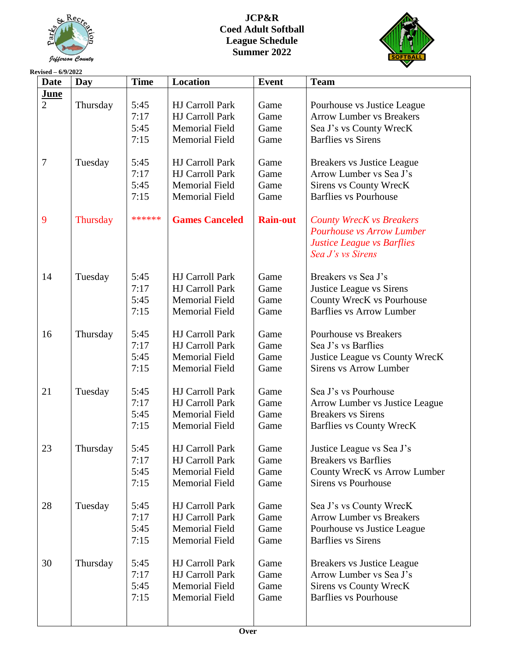

# **JCP&R Coed Adult Softball League Schedule Summer 2022**



#### **Revised – 6/9/2022 Date Day Time Location Event Team June**  $\mathfrak{D}$ 7 9 14 16 21 23 28 30 **Thursday** Tuesday **Thursday** Tuesday Thursday Tuesday Thursday Tuesday Thursday 5:45 7:17 5:45 7:15 5:45 7:17 5:45 7:15 \*\*\*\*\*\* 5:45 7:17 5:45 7:15 5:45 7:17 5:45 7:15 5:45 7:17 5:45 7:15 5:45 7:17 5:45 7:15 5:45 7:17 5:45 7:15 5:45 7:17 5:45 7:15 HJ Carroll Park HJ Carroll Park Memorial Field Memorial Field HJ Carroll Park HJ Carroll Park Memorial Field Memorial Field **Games Canceled** HJ Carroll Park HJ Carroll Park Memorial Field Memorial Field HJ Carroll Park HJ Carroll Park Memorial Field Memorial Field HJ Carroll Park HJ Carroll Park Memorial Field Memorial Field HJ Carroll Park HJ Carroll Park Memorial Field Memorial Field HJ Carroll Park HJ Carroll Park Memorial Field Memorial Field HJ Carroll Park HJ Carroll Park Memorial Field Memorial Field Game Game Game Game Game Game Game Game **Rain-out** Game Game Game Game Game Game Game Game Game Game Game Game Game Game Game Game Game Game Game Game Game Game Game Game Pourhouse vs Justice League Arrow Lumber vs Breakers Sea J's vs County WrecK Barflies vs Sirens Breakers vs Justice League Arrow Lumber vs Sea J's Sirens vs County WrecK Barflies vs Pourhouse *County WrecK vs Breakers Pourhouse vs Arrow Lumber Justice League vs Barflies Sea J's vs Sirens* Breakers vs Sea J's Justice League vs Sirens County WrecK vs Pourhouse Barflies vs Arrow Lumber Pourhouse vs Breakers Sea J's vs Barflies Justice League vs County WrecK Sirens vs Arrow Lumber Sea J's vs Pourhouse Arrow Lumber vs Justice League Breakers vs Sirens Barflies vs County WrecK Justice League vs Sea J's Breakers vs Barflies County WrecK vs Arrow Lumber Sirens vs Pourhouse Sea J's vs County WrecK Arrow Lumber vs Breakers Pourhouse vs Justice League Barflies vs Sirens Breakers vs Justice League Arrow Lumber vs Sea J's Sirens vs County WrecK Barflies vs Pourhouse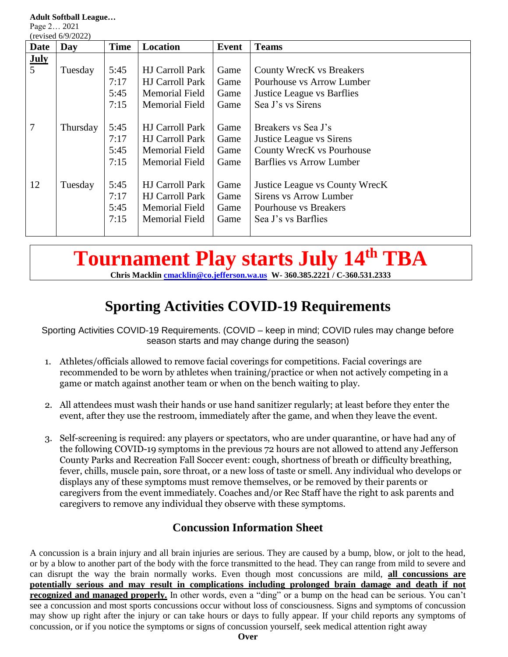**Adult Softball League…**

Page 2… 2021  $(r_{\text{ovised}} 6/9/2022)$ 

| $(1$ evised $0/9/2022$ |          |             |                        |       |                                   |  |
|------------------------|----------|-------------|------------------------|-------|-----------------------------------|--|
| Date                   | Day      | <b>Time</b> | Location               | Event | <b>Teams</b>                      |  |
| <b>July</b>            |          |             |                        |       |                                   |  |
| $\overline{5}$         | Tuesday  | 5:45        | <b>HJ Carroll Park</b> | Game  | <b>County WrecK vs Breakers</b>   |  |
|                        |          | 7:17        | <b>HJ Carroll Park</b> | Game  | Pourhouse vs Arrow Lumber         |  |
|                        |          | 5:45        | Memorial Field         | Game  | <b>Justice League vs Barflies</b> |  |
|                        |          | 7:15        | <b>Memorial Field</b>  | Game  | Sea J's vs Sirens                 |  |
|                        |          |             |                        |       |                                   |  |
| $\overline{7}$         | Thursday | 5:45        | <b>HJ</b> Carroll Park | Game  | Breakers vs Sea J's               |  |
|                        |          | 7:17        | <b>HJ Carroll Park</b> | Game  | <b>Justice League vs Sirens</b>   |  |
|                        |          | 5:45        | <b>Memorial Field</b>  | Game  | County WrecK vs Pourhouse         |  |
|                        |          | 7:15        | <b>Memorial Field</b>  | Game  | Barflies vs Arrow Lumber          |  |
|                        |          |             |                        |       |                                   |  |
| 12                     | Tuesday  | 5:45        | <b>HJ Carroll Park</b> | Game  | Justice League vs County WrecK    |  |
|                        |          | 7:17        | <b>HJ Carroll Park</b> | Game  | Sirens vs Arrow Lumber            |  |
|                        |          | 5:45        | Memorial Field         | Game  | Pourhouse vs Breakers             |  |
|                        |          | 7:15        | Memorial Field         | Game  | Sea J's vs Barflies               |  |
|                        |          |             |                        |       |                                   |  |

# **Tournament Play starts July 14 th TBA**

**Chris Macklin [cmacklin@co.jefferson.wa.us](mailto:cmacklin@co.jefferson.wa.us) W- 360.385.2221 / C-360.531.2333**

# **Sporting Activities COVID-19 Requirements**

Sporting Activities COVID-19 Requirements. (COVID – keep in mind; COVID rules may change before season starts and may change during the season)

- 1. Athletes/officials allowed to remove facial coverings for competitions. Facial coverings are recommended to be worn by athletes when training/practice or when not actively competing in a game or match against another team or when on the bench waiting to play.
- 2. All attendees must wash their hands or use hand sanitizer regularly; at least before they enter the event, after they use the restroom, immediately after the game, and when they leave the event.
- 3. Self-screening is required: any players or spectators, who are under quarantine, or have had any of the following COVID-19 symptoms in the previous 72 hours are not allowed to attend any Jefferson County Parks and Recreation Fall Soccer event: cough, shortness of breath or difficulty breathing, fever, chills, muscle pain, sore throat, or a new loss of taste or smell. Any individual who develops or displays any of these symptoms must remove themselves, or be removed by their parents or caregivers from the event immediately. Coaches and/or Rec Staff have the right to ask parents and caregivers to remove any individual they observe with these symptoms.

# **Concussion Information Sheet**

A concussion is a brain injury and all brain injuries are serious. They are caused by a bump, blow, or jolt to the head, or by a blow to another part of the body with the force transmitted to the head. They can range from mild to severe and can disrupt the way the brain normally works. Even though most concussions are mild, **all concussions are potentially serious and may result in complications including prolonged brain damage and death if not recognized and managed properly.** In other words, even a "ding" or a bump on the head can be serious. You can't see a concussion and most sports concussions occur without loss of consciousness. Signs and symptoms of concussion may show up right after the injury or can take hours or days to fully appear. If your child reports any symptoms of concussion, or if you notice the symptoms or signs of concussion yourself, seek medical attention right away